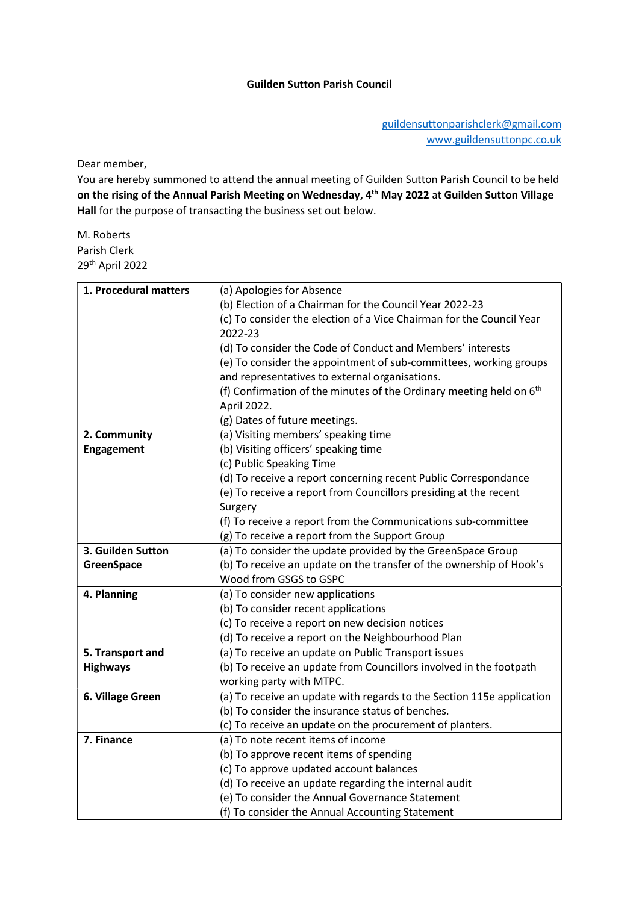Dear member,

You are hereby summoned to attend the annual meeting of Guilden Sutton Parish Council to be held on the rising of the Annual Parish Meeting on Wednesday, 4<sup>th</sup> May 2022 at Guilden Sutton Village Hall for the purpose of transacting the business set out below.

M. Roberts Parish Clerk 29th April 2022

| 1. Procedural matters | (a) Apologies for Absence                                                       |
|-----------------------|---------------------------------------------------------------------------------|
|                       | (b) Election of a Chairman for the Council Year 2022-23                         |
|                       | (c) To consider the election of a Vice Chairman for the Council Year            |
|                       | 2022-23                                                                         |
|                       | (d) To consider the Code of Conduct and Members' interests                      |
|                       | (e) To consider the appointment of sub-committees, working groups               |
|                       | and representatives to external organisations.                                  |
|                       | (f) Confirmation of the minutes of the Ordinary meeting held on 6 <sup>th</sup> |
|                       | April 2022.                                                                     |
|                       | (g) Dates of future meetings.                                                   |
| 2. Community          | (a) Visiting members' speaking time                                             |
| <b>Engagement</b>     | (b) Visiting officers' speaking time                                            |
|                       | (c) Public Speaking Time                                                        |
|                       | (d) To receive a report concerning recent Public Correspondance                 |
|                       | (e) To receive a report from Councillors presiding at the recent                |
|                       | Surgery                                                                         |
|                       | (f) To receive a report from the Communications sub-committee                   |
|                       | (g) To receive a report from the Support Group                                  |
| 3. Guilden Sutton     | (a) To consider the update provided by the GreenSpace Group                     |
| <b>GreenSpace</b>     | (b) To receive an update on the transfer of the ownership of Hook's             |
|                       | Wood from GSGS to GSPC                                                          |
| 4. Planning           | (a) To consider new applications                                                |
|                       | (b) To consider recent applications                                             |
|                       | (c) To receive a report on new decision notices                                 |
|                       | (d) To receive a report on the Neighbourhood Plan                               |
| 5. Transport and      | (a) To receive an update on Public Transport issues                             |
| <b>Highways</b>       | (b) To receive an update from Councillors involved in the footpath              |
|                       | working party with MTPC.                                                        |
| 6. Village Green      | (a) To receive an update with regards to the Section 115e application           |
|                       | (b) To consider the insurance status of benches.                                |
|                       | (c) To receive an update on the procurement of planters.                        |
| 7. Finance            | (a) To note recent items of income                                              |
|                       | (b) To approve recent items of spending                                         |
|                       | (c) To approve updated account balances                                         |
|                       | (d) To receive an update regarding the internal audit                           |
|                       | (e) To consider the Annual Governance Statement                                 |
|                       | (f) To consider the Annual Accounting Statement                                 |